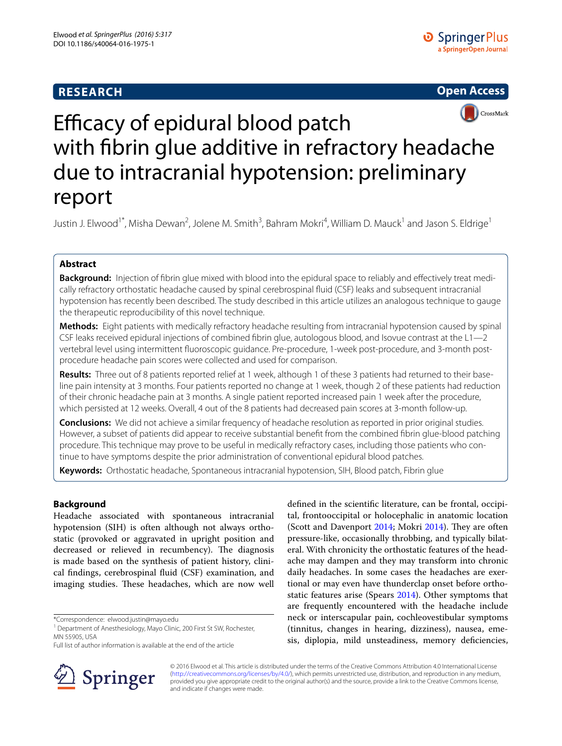# **RESEARCH**





# Efficacy of epidural blood patch with fibrin glue additive in refractory headache due to intracranial hypotension: preliminary report

Justin J. Elwood<sup>1\*</sup>, Misha Dewan<sup>2</sup>, Jolene M. Smith<sup>3</sup>, Bahram Mokri<sup>4</sup>, William D. Mauck<sup>1</sup> and Jason S. Eldrige<sup>1</sup>

# **Abstract**

**Background:** Injection of fibrin glue mixed with blood into the epidural space to reliably and effectively treat medically refractory orthostatic headache caused by spinal cerebrospinal fluid (CSF) leaks and subsequent intracranial hypotension has recently been described. The study described in this article utilizes an analogous technique to gauge the therapeutic reproducibility of this novel technique.

**Methods:** Eight patients with medically refractory headache resulting from intracranial hypotension caused by spinal CSF leaks received epidural injections of combined fibrin glue, autologous blood, and Isovue contrast at the L1—2 vertebral level using intermittent fluoroscopic guidance. Pre-procedure, 1-week post-procedure, and 3-month postprocedure headache pain scores were collected and used for comparison.

**Results:** Three out of 8 patients reported relief at 1 week, although 1 of these 3 patients had returned to their baseline pain intensity at 3 months. Four patients reported no change at 1 week, though 2 of these patients had reduction of their chronic headache pain at 3 months. A single patient reported increased pain 1 week after the procedure, which persisted at 12 weeks. Overall, 4 out of the 8 patients had decreased pain scores at 3-month follow-up.

**Conclusions:** We did not achieve a similar frequency of headache resolution as reported in prior original studies. However, a subset of patients did appear to receive substantial benefit from the combined fibrin glue-blood patching procedure. This technique may prove to be useful in medically refractory cases, including those patients who continue to have symptoms despite the prior administration of conventional epidural blood patches.

**Keywords:** Orthostatic headache, Spontaneous intracranial hypotension, SIH, Blood patch, Fibrin glue

# **Background**

Headache associated with spontaneous intracranial hypotension (SIH) is often although not always orthostatic (provoked or aggravated in upright position and decreased or relieved in recumbency). The diagnosis is made based on the synthesis of patient history, clinical findings, cerebrospinal fluid (CSF) examination, and imaging studies. These headaches, which are now well

\*Correspondence: elwood.justin@mayo.edu

Full list of author information is available at the end of the article



defined in the scientific literature, can be frontal, occipital, frontooccipital or holocephalic in anatomic location (Scott and Davenport [2014;](#page-4-0) Mokri [2014](#page-4-1)). They are often pressure-like, occasionally throbbing, and typically bilateral. With chronicity the orthostatic features of the headache may dampen and they may transform into chronic daily headaches. In some cases the headaches are exertional or may even have thunderclap onset before orthostatic features arise (Spears [2014\)](#page-4-2). Other symptoms that are frequently encountered with the headache include neck or interscapular pain, cochleovestibular symptoms (tinnitus, changes in hearing, dizziness), nausea, emesis, diplopia, mild unsteadiness, memory deficiencies,

© 2016 Elwood et al. This article is distributed under the terms of the Creative Commons Attribution 4.0 International License [\(http://creativecommons.org/licenses/by/4.0/\)](http://creativecommons.org/licenses/by/4.0/), which permits unrestricted use, distribution, and reproduction in any medium, provided you give appropriate credit to the original author(s) and the source, provide a link to the Creative Commons license, and indicate if changes were made.

<sup>&</sup>lt;sup>1</sup> Department of Anesthesiology, Mayo Clinic, 200 First St SW, Rochester, MN 55905, USA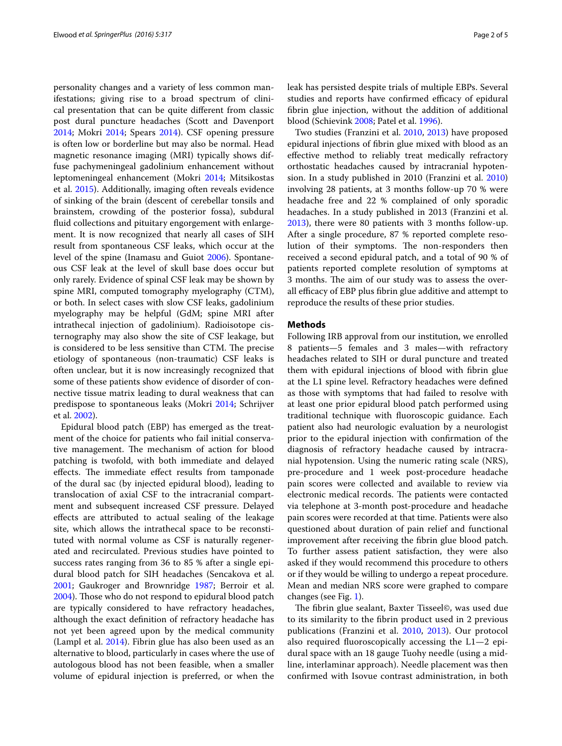personality changes and a variety of less common manifestations; giving rise to a broad spectrum of clinical presentation that can be quite different from classic post dural puncture headaches (Scott and Davenport [2014](#page-4-0); Mokri [2014;](#page-4-1) Spears [2014\)](#page-4-2). CSF opening pressure is often low or borderline but may also be normal. Head magnetic resonance imaging (MRI) typically shows diffuse pachymeningeal gadolinium enhancement without leptomeningeal enhancement (Mokri [2014;](#page-4-1) Mitsikostas et al. [2015](#page-4-3)). Additionally, imaging often reveals evidence of sinking of the brain (descent of cerebellar tonsils and brainstem, crowding of the posterior fossa), subdural fluid collections and pituitary engorgement with enlargement. It is now recognized that nearly all cases of SIH result from spontaneous CSF leaks, which occur at the level of the spine (Inamasu and Guiot [2006](#page-4-4)). Spontaneous CSF leak at the level of skull base does occur but only rarely. Evidence of spinal CSF leak may be shown by spine MRI, computed tomography myelography (CTM), or both. In select cases with slow CSF leaks, gadolinium myelography may be helpful (GdM; spine MRI after intrathecal injection of gadolinium). Radioisotope cisternography may also show the site of CSF leakage, but is considered to be less sensitive than CTM. The precise etiology of spontaneous (non-traumatic) CSF leaks is often unclear, but it is now increasingly recognized that some of these patients show evidence of disorder of connective tissue matrix leading to dural weakness that can predispose to spontaneous leaks (Mokri [2014](#page-4-1); Schrijver et al. [2002\)](#page-4-5).

Epidural blood patch (EBP) has emerged as the treatment of the choice for patients who fail initial conservative management. The mechanism of action for blood patching is twofold, with both immediate and delayed effects. The immediate effect results from tamponade of the dural sac (by injected epidural blood), leading to translocation of axial CSF to the intracranial compartment and subsequent increased CSF pressure. Delayed effects are attributed to actual sealing of the leakage site, which allows the intrathecal space to be reconstituted with normal volume as CSF is naturally regenerated and recirculated. Previous studies have pointed to success rates ranging from 36 to 85 % after a single epidural blood patch for SIH headaches (Sencakova et al. [2001](#page-4-6); Gaukroger and Brownridge [1987](#page-4-7); Berroir et al. [2004](#page-4-8)). Those who do not respond to epidural blood patch are typically considered to have refractory headaches, although the exact definition of refractory headache has not yet been agreed upon by the medical community (Lampl et al. [2014\)](#page-4-9). Fibrin glue has also been used as an alternative to blood, particularly in cases where the use of autologous blood has not been feasible, when a smaller volume of epidural injection is preferred, or when the leak has persisted despite trials of multiple EBPs. Several studies and reports have confirmed efficacy of epidural fibrin glue injection, without the addition of additional blood (Schievink [2008;](#page-4-10) Patel et al. [1996\)](#page-4-11).

Two studies (Franzini et al. [2010,](#page-4-12) [2013](#page-4-13)) have proposed epidural injections of fibrin glue mixed with blood as an effective method to reliably treat medically refractory orthostatic headaches caused by intracranial hypotension. In a study published in 2010 (Franzini et al. [2010](#page-4-12)) involving 28 patients, at 3 months follow-up 70 % were headache free and 22 % complained of only sporadic headaches. In a study published in 2013 (Franzini et al. [2013](#page-4-13)), there were 80 patients with 3 months follow-up. After a single procedure, 87 % reported complete resolution of their symptoms. The non-responders then received a second epidural patch, and a total of 90 % of patients reported complete resolution of symptoms at 3 months. The aim of our study was to assess the overall efficacy of EBP plus fibrin glue additive and attempt to reproduce the results of these prior studies.

### **Methods**

Following IRB approval from our institution, we enrolled 8 patients—5 females and 3 males—with refractory headaches related to SIH or dural puncture and treated them with epidural injections of blood with fibrin glue at the L1 spine level. Refractory headaches were defined as those with symptoms that had failed to resolve with at least one prior epidural blood patch performed using traditional technique with fluoroscopic guidance. Each patient also had neurologic evaluation by a neurologist prior to the epidural injection with confirmation of the diagnosis of refractory headache caused by intracranial hypotension. Using the numeric rating scale (NRS), pre-procedure and 1 week post-procedure headache pain scores were collected and available to review via electronic medical records. The patients were contacted via telephone at 3-month post-procedure and headache pain scores were recorded at that time. Patients were also questioned about duration of pain relief and functional improvement after receiving the fibrin glue blood patch. To further assess patient satisfaction, they were also asked if they would recommend this procedure to others or if they would be willing to undergo a repeat procedure. Mean and median NRS score were graphed to compare changes (see Fig. [1](#page-2-0)).

The fibrin glue sealant, Baxter Tisseel©, was used due to its similarity to the fibrin product used in 2 previous publications (Franzini et al. [2010,](#page-4-12) [2013\)](#page-4-13). Our protocol also required fluoroscopically accessing the L1—2 epidural space with an 18 gauge Tuohy needle (using a midline, interlaminar approach). Needle placement was then confirmed with Isovue contrast administration, in both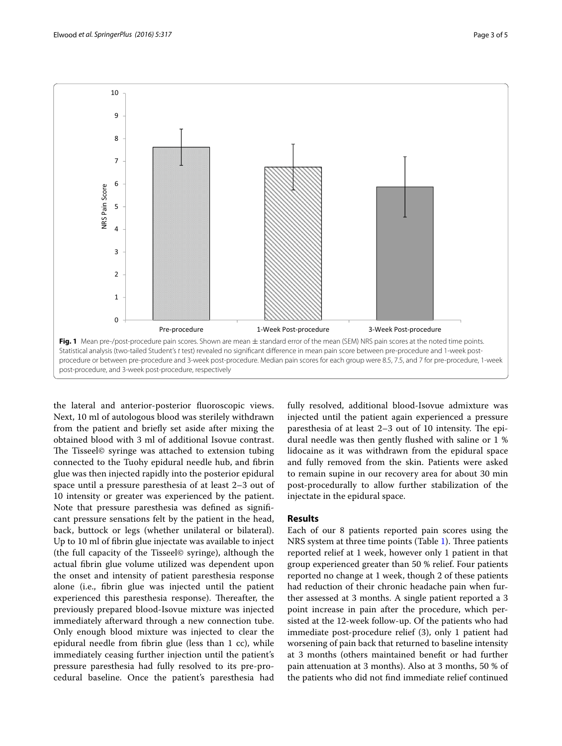

<span id="page-2-0"></span>the lateral and anterior-posterior fluoroscopic views. Next, 10 ml of autologous blood was sterilely withdrawn from the patient and briefly set aside after mixing the obtained blood with 3 ml of additional Isovue contrast. The Tisseel© syringe was attached to extension tubing connected to the Tuohy epidural needle hub, and fibrin glue was then injected rapidly into the posterior epidural space until a pressure paresthesia of at least 2–3 out of 10 intensity or greater was experienced by the patient. Note that pressure paresthesia was defined as significant pressure sensations felt by the patient in the head, back, buttock or legs (whether unilateral or bilateral). Up to 10 ml of fibrin glue injectate was available to inject (the full capacity of the Tisseel© syringe), although the actual fibrin glue volume utilized was dependent upon the onset and intensity of patient paresthesia response alone (i.e., fibrin glue was injected until the patient experienced this paresthesia response). Thereafter, the previously prepared blood-Isovue mixture was injected immediately afterward through a new connection tube. Only enough blood mixture was injected to clear the epidural needle from fibrin glue (less than 1 cc), while immediately ceasing further injection until the patient's pressure paresthesia had fully resolved to its pre-procedural baseline. Once the patient's paresthesia had fully resolved, additional blood-Isovue admixture was injected until the patient again experienced a pressure paresthesia of at least 2–3 out of 10 intensity. The epidural needle was then gently flushed with saline or 1 % lidocaine as it was withdrawn from the epidural space and fully removed from the skin. Patients were asked to remain supine in our recovery area for about 30 min post-procedurally to allow further stabilization of the injectate in the epidural space.

## **Results**

Each of our 8 patients reported pain scores using the NRS system at three time points (Table [1](#page-3-0)). Three patients reported relief at 1 week, however only 1 patient in that group experienced greater than 50 % relief. Four patients reported no change at 1 week, though 2 of these patients had reduction of their chronic headache pain when further assessed at 3 months. A single patient reported a 3 point increase in pain after the procedure, which persisted at the 12-week follow-up. Of the patients who had immediate post-procedure relief (3), only 1 patient had worsening of pain back that returned to baseline intensity at 3 months (others maintained benefit or had further pain attenuation at 3 months). Also at 3 months, 50 % of the patients who did not find immediate relief continued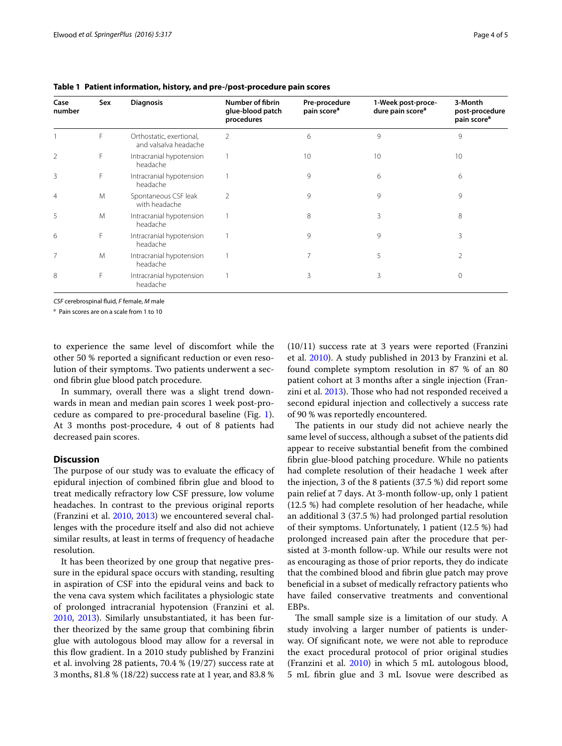| Case<br>number | Sex | <b>Diagnosis</b>                                  | Number of fibrin<br>glue-blood patch<br>procedures | Pre-procedure<br>pain score <sup>a</sup> | 1-Week post-proce-<br>dure pain score <sup>a</sup> | 3-Month<br>post-procedure<br>pain score <sup>a</sup> |
|----------------|-----|---------------------------------------------------|----------------------------------------------------|------------------------------------------|----------------------------------------------------|------------------------------------------------------|
|                | F   | Orthostatic, exertional,<br>and valsalva headache | 2                                                  | 6                                        | 9                                                  | 9                                                    |
| $\overline{2}$ | F   | Intracranial hypotension<br>headache              |                                                    | 10                                       | 10                                                 | 10                                                   |
| 3              | F   | Intracranial hypotension<br>headache              |                                                    | 9                                        | 6                                                  | 6                                                    |
| $\overline{4}$ | M   | Spontaneous CSF leak<br>with headache             | 2                                                  | 9                                        | 9                                                  | 9                                                    |
| 5              | M   | Intracranial hypotension<br>headache              |                                                    | 8                                        | 3                                                  | 8                                                    |
| 6              | F   | Intracranial hypotension<br>headache              |                                                    | 9                                        | 9                                                  | 3                                                    |
| $\overline{7}$ | M   | Intracranial hypotension<br>headache              |                                                    | 7                                        | 5                                                  | 2                                                    |
| 8              | F   | Intracranial hypotension<br>headache              |                                                    | 3                                        | 3                                                  |                                                      |

<span id="page-3-0"></span>**Table 1 Patient information, history, and pre-/post-procedure pain scores**

*CSF* cerebrospinal fluid, *F* female, *M* male

<sup>a</sup> Pain scores are on a scale from 1 to 10

to experience the same level of discomfort while the other 50 % reported a significant reduction or even resolution of their symptoms. Two patients underwent a second fibrin glue blood patch procedure.

In summary, overall there was a slight trend downwards in mean and median pain scores 1 week post-procedure as compared to pre-procedural baseline (Fig. [1](#page-2-0)). At 3 months post-procedure, 4 out of 8 patients had decreased pain scores.

# **Discussion**

The purpose of our study was to evaluate the efficacy of epidural injection of combined fibrin glue and blood to treat medically refractory low CSF pressure, low volume headaches. In contrast to the previous original reports (Franzini et al. [2010](#page-4-12), [2013](#page-4-13)) we encountered several challenges with the procedure itself and also did not achieve similar results, at least in terms of frequency of headache resolution.

It has been theorized by one group that negative pressure in the epidural space occurs with standing, resulting in aspiration of CSF into the epidural veins and back to the vena cava system which facilitates a physiologic state of prolonged intracranial hypotension (Franzini et al. [2010](#page-4-12), [2013](#page-4-13)). Similarly unsubstantiated, it has been further theorized by the same group that combining fibrin glue with autologous blood may allow for a reversal in this flow gradient. In a 2010 study published by Franzini et al. involving 28 patients, 70.4 % (19/27) success rate at 3 months, 81.8 % (18/22) success rate at 1 year, and 83.8 % (10/11) success rate at 3 years were reported (Franzini et al. [2010\)](#page-4-12). A study published in 2013 by Franzini et al. found complete symptom resolution in 87 % of an 80 patient cohort at 3 months after a single injection (Franzini et al. [2013\)](#page-4-13). Those who had not responded received a second epidural injection and collectively a success rate of 90 % was reportedly encountered.

The patients in our study did not achieve nearly the same level of success, although a subset of the patients did appear to receive substantial benefit from the combined fibrin glue-blood patching procedure. While no patients had complete resolution of their headache 1 week after the injection, 3 of the 8 patients (37.5 %) did report some pain relief at 7 days. At 3-month follow-up, only 1 patient (12.5 %) had complete resolution of her headache, while an additional 3 (37.5 %) had prolonged partial resolution of their symptoms. Unfortunately, 1 patient (12.5 %) had prolonged increased pain after the procedure that persisted at 3-month follow-up. While our results were not as encouraging as those of prior reports, they do indicate that the combined blood and fibrin glue patch may prove beneficial in a subset of medically refractory patients who have failed conservative treatments and conventional EBPs.

The small sample size is a limitation of our study. A study involving a larger number of patients is underway. Of significant note, we were not able to reproduce the exact procedural protocol of prior original studies (Franzini et al. [2010](#page-4-12)) in which 5 mL autologous blood, 5 mL fibrin glue and 3 mL Isovue were described as